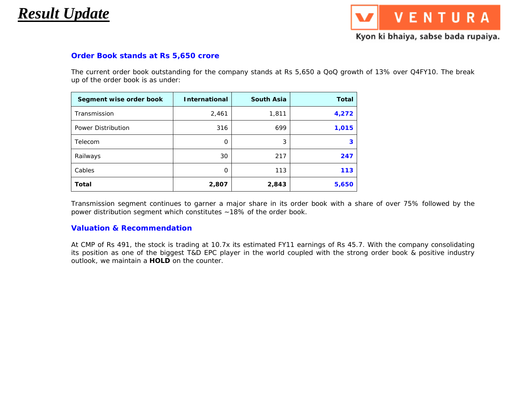## *Result Update*

VENTURA

### Kyon ki bhaiya, sabse bada rupaiya.

#### **Order Book stands at Rs 5,650 crore**

The current order book outstanding for the company stands at Rs 5,650 a QoQ growth of 13% over Q4FY10. The break up of the order book is as under:

| Segment wise order book | <b>International</b> | <b>South Asia</b> | <b>Total</b> |  |
|-------------------------|----------------------|-------------------|--------------|--|
| Transmission            | 2,461                | 1,811             | 4,272        |  |
| Power Distribution      | 316                  | 699               | 1,015        |  |
| Telecom                 | 0                    | 3                 |              |  |
| Railways                | 30                   | 217               | 247          |  |
| Cables                  | 0                    | 113               | 113          |  |
| <b>Total</b>            | 2,807                | 2,843             | 5,650        |  |

Transmission segment continues to garner a major share in its order book with a share of over 75% followed by the power distribution segment which constitutes ~18% of the order book.

#### **Valuation & Recommendation**

At CMP of Rs 491, the stock is trading at 10.7x its estimated FY11 earnings of Rs 45.7. With the company consolidating its position as one of the biggest T&D EPC player in the world coupled with the strong order book & positive industry outlook, we maintain a **HOLD** on the counter.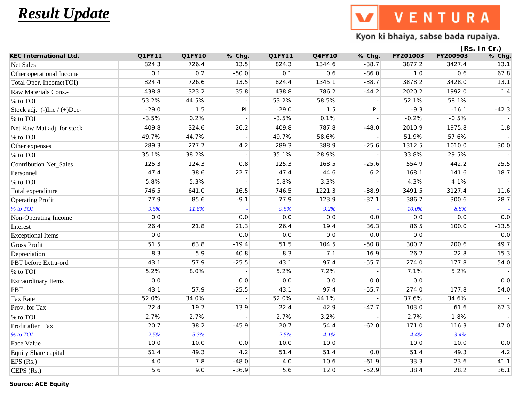# *Result Update*

VENTURA W

### Kyon ki bhaiya, sabse bada rupaiya.

| Q1FY11<br>Q4FY10<br>% Chg.<br>FY201003<br>FY200903<br>824.3<br>726.4<br>13.5<br>824.3<br>1344.6<br>$-38.7$<br>3877.2<br>3427.4<br>Net Sales<br>Other operational Income<br>0.1<br>0.2<br>$-50.0$<br>0.1<br>0.6<br>$1.0$<br>0.6<br>$-86.0$<br>824.4<br>726.6<br>13.5<br>824.4<br>1345.1<br>$-38.7$<br>3428.0<br>Total Oper. Income(TOI)<br>3878.2<br>438.8<br>786.2<br>Raw Materials Cons.-<br>323.2<br>35.8<br>438.8<br>$-44.2$<br>2020.2<br>1992.0<br>% to TOI<br>53.2%<br>44.5%<br>53.2%<br>58.5%<br>52.1%<br>58.1%<br>$-29.0$<br>1.5<br>PL<br>$-29.0$<br>PL<br>$-9.3$<br>$-16.1$<br>Stock adj. (-)Inc / (+)Dec-<br>1.5<br>$-3.5%$<br>% to TOI<br>0.2%<br>$-3.5%$<br>0.1%<br>$-0.2%$<br>$-0.5%$<br>409.8<br>787.8<br>324.6<br>26.2<br>409.8<br>$-48.0$<br>2010.9<br>1975.8<br>Net Raw Mat adj. for stock<br>% to TOI<br>49.7%<br>44.7%<br>49.7%<br>58.6%<br>51.9%<br>57.6%<br>289.3<br>277.7<br>289.3<br>388.9<br>1312.5<br>1010.0<br>4.2<br>$-25.6$<br>Other expenses<br>35.1%<br>28.9%<br>% to TOI<br>38.2%<br>35.1%<br>33.8%<br>29.5%<br>125.3<br>124.3<br>125.3<br>168.5<br>554.9<br>442.2<br><b>Contribution Net_Sales</b><br>0.8<br>$-25.6$<br>47.4<br>38.6<br>47.4<br>44.6<br>168.1<br>22.7<br>$6.2\,$<br>141.6<br>Personnel<br>% to TOI<br>5.8%<br>5.3%<br>5.8%<br>3.3%<br>4.3%<br>4.1%<br>746.5<br>641.0<br>746.5<br>1221.3<br>3491.5<br>3127.4<br>Total expenditure<br>16.5<br>$-38.9$<br>77.9<br>85.6<br>$-9.1$<br>77.9<br>123.9<br>386.7<br>$-37.1$<br>300.6<br><b>Operating Profit</b><br>9.5%<br>% to TOI<br>11.8%<br>9.5%<br>9.2%<br>$10.0\%$<br>8.8%<br>0.0<br>0.0<br>0.0<br>Non-Operating Income<br>0.0<br>0.0<br>$0.0\,$<br>$0.0$<br>26.4<br>21.8<br>21.3<br>26.4<br>19.4<br>36.3<br>86.5<br>100.0<br>Interest<br>0.0<br>0.0<br>$0.0\,$<br>0.0<br>0.0<br>$0.0\,$<br><b>Exceptional Items</b><br>51.5<br>63.8<br>$-19.4$<br>51.5<br>104.5<br>$-50.8$<br>300.2<br>200.6<br><b>Gross Profit</b><br>8.3<br>5.9<br>40.8<br>8.3<br>7.1<br>16.9<br>26.2<br>22.8<br>Depreciation<br>43.1<br>57.9<br>97.4<br>274.0<br>PBT before Extra-ord<br>$-25.5$<br>43.1<br>$-55.7$<br>177.8<br>% to TOI<br>5.2%<br>8.0%<br>5.2%<br>7.2%<br>7.1%<br>5.2%<br>0.0<br>0.0<br>0.0<br>0.0<br>0.0<br><b>Extraordinary Items</b><br>0.0<br>43.1<br>97.4<br>57.9<br>$-25.5$<br>43.1<br>$-55.7$<br>274.0<br>177.8<br><b>PBT</b><br><b>Tax Rate</b><br>52.0%<br>52.0%<br>34.0%<br>44.1%<br>37.6%<br>34.6%<br>22.4<br>19.7<br>42.9<br>Prov. for Tax<br>13.9<br>22.4<br>$-47.7$<br>103.0<br>61.6<br>% to TOI<br>2.7%<br>2.7%<br>2.7%<br>3.2%<br>2.7%<br>1.8%<br>20.7<br>38.2<br>20.7<br>54.4<br>Profit after Tax<br>$-45.9$<br>$-62.0$<br>171.0<br>116.3<br>2.5%<br>% to TOI<br>2.5%<br>5.3%<br>4.1%<br>4.4%<br>3.4%<br>Face Value<br>10.0<br>10.0<br>0.0<br>10.0<br>10.0<br>10.0<br>10.0<br>51.4<br>49.3<br>4.2<br>51.4<br>51.4<br>$0.0$<br>51.4<br>49.3<br>Equity Share capital<br>7.8<br>$-48.0$<br>10.6<br>$-61.9$<br>EPS $(Rs.)$<br>4.0<br>4.0<br>33.3<br>23.6<br>5.6<br>$-36.9$<br>38.4<br>9.0<br>5.6<br>12.0<br>$-52.9$<br>28.2<br>CEPS (Rs.) |                               |        |        |        |  |  | (Rs. In Cr.)             |
|------------------------------------------------------------------------------------------------------------------------------------------------------------------------------------------------------------------------------------------------------------------------------------------------------------------------------------------------------------------------------------------------------------------------------------------------------------------------------------------------------------------------------------------------------------------------------------------------------------------------------------------------------------------------------------------------------------------------------------------------------------------------------------------------------------------------------------------------------------------------------------------------------------------------------------------------------------------------------------------------------------------------------------------------------------------------------------------------------------------------------------------------------------------------------------------------------------------------------------------------------------------------------------------------------------------------------------------------------------------------------------------------------------------------------------------------------------------------------------------------------------------------------------------------------------------------------------------------------------------------------------------------------------------------------------------------------------------------------------------------------------------------------------------------------------------------------------------------------------------------------------------------------------------------------------------------------------------------------------------------------------------------------------------------------------------------------------------------------------------------------------------------------------------------------------------------------------------------------------------------------------------------------------------------------------------------------------------------------------------------------------------------------------------------------------------------------------------------------------------------------------------------------------------------------------------------------------------------------------------------------------------------------------------------------------------------------------------------------------------------------------------------------------------------------------------------------------------------------------------------------------------------------------------------------------------------------------------------------------------------------------------------------------------|-------------------------------|--------|--------|--------|--|--|--------------------------|
|                                                                                                                                                                                                                                                                                                                                                                                                                                                                                                                                                                                                                                                                                                                                                                                                                                                                                                                                                                                                                                                                                                                                                                                                                                                                                                                                                                                                                                                                                                                                                                                                                                                                                                                                                                                                                                                                                                                                                                                                                                                                                                                                                                                                                                                                                                                                                                                                                                                                                                                                                                                                                                                                                                                                                                                                                                                                                                                                                                                                                                          | <b>KEC International Ltd.</b> | Q1FY10 | % Chg. | Q1FY11 |  |  | % Chg.                   |
|                                                                                                                                                                                                                                                                                                                                                                                                                                                                                                                                                                                                                                                                                                                                                                                                                                                                                                                                                                                                                                                                                                                                                                                                                                                                                                                                                                                                                                                                                                                                                                                                                                                                                                                                                                                                                                                                                                                                                                                                                                                                                                                                                                                                                                                                                                                                                                                                                                                                                                                                                                                                                                                                                                                                                                                                                                                                                                                                                                                                                                          |                               |        |        |        |  |  | 13.1                     |
|                                                                                                                                                                                                                                                                                                                                                                                                                                                                                                                                                                                                                                                                                                                                                                                                                                                                                                                                                                                                                                                                                                                                                                                                                                                                                                                                                                                                                                                                                                                                                                                                                                                                                                                                                                                                                                                                                                                                                                                                                                                                                                                                                                                                                                                                                                                                                                                                                                                                                                                                                                                                                                                                                                                                                                                                                                                                                                                                                                                                                                          |                               |        |        |        |  |  | 67.8                     |
|                                                                                                                                                                                                                                                                                                                                                                                                                                                                                                                                                                                                                                                                                                                                                                                                                                                                                                                                                                                                                                                                                                                                                                                                                                                                                                                                                                                                                                                                                                                                                                                                                                                                                                                                                                                                                                                                                                                                                                                                                                                                                                                                                                                                                                                                                                                                                                                                                                                                                                                                                                                                                                                                                                                                                                                                                                                                                                                                                                                                                                          |                               |        |        |        |  |  | 13.1                     |
|                                                                                                                                                                                                                                                                                                                                                                                                                                                                                                                                                                                                                                                                                                                                                                                                                                                                                                                                                                                                                                                                                                                                                                                                                                                                                                                                                                                                                                                                                                                                                                                                                                                                                                                                                                                                                                                                                                                                                                                                                                                                                                                                                                                                                                                                                                                                                                                                                                                                                                                                                                                                                                                                                                                                                                                                                                                                                                                                                                                                                                          |                               |        |        |        |  |  | 1.4                      |
|                                                                                                                                                                                                                                                                                                                                                                                                                                                                                                                                                                                                                                                                                                                                                                                                                                                                                                                                                                                                                                                                                                                                                                                                                                                                                                                                                                                                                                                                                                                                                                                                                                                                                                                                                                                                                                                                                                                                                                                                                                                                                                                                                                                                                                                                                                                                                                                                                                                                                                                                                                                                                                                                                                                                                                                                                                                                                                                                                                                                                                          |                               |        |        |        |  |  | $\overline{\phantom{a}}$ |
|                                                                                                                                                                                                                                                                                                                                                                                                                                                                                                                                                                                                                                                                                                                                                                                                                                                                                                                                                                                                                                                                                                                                                                                                                                                                                                                                                                                                                                                                                                                                                                                                                                                                                                                                                                                                                                                                                                                                                                                                                                                                                                                                                                                                                                                                                                                                                                                                                                                                                                                                                                                                                                                                                                                                                                                                                                                                                                                                                                                                                                          |                               |        |        |        |  |  | $-42.3$                  |
|                                                                                                                                                                                                                                                                                                                                                                                                                                                                                                                                                                                                                                                                                                                                                                                                                                                                                                                                                                                                                                                                                                                                                                                                                                                                                                                                                                                                                                                                                                                                                                                                                                                                                                                                                                                                                                                                                                                                                                                                                                                                                                                                                                                                                                                                                                                                                                                                                                                                                                                                                                                                                                                                                                                                                                                                                                                                                                                                                                                                                                          |                               |        |        |        |  |  |                          |
|                                                                                                                                                                                                                                                                                                                                                                                                                                                                                                                                                                                                                                                                                                                                                                                                                                                                                                                                                                                                                                                                                                                                                                                                                                                                                                                                                                                                                                                                                                                                                                                                                                                                                                                                                                                                                                                                                                                                                                                                                                                                                                                                                                                                                                                                                                                                                                                                                                                                                                                                                                                                                                                                                                                                                                                                                                                                                                                                                                                                                                          |                               |        |        |        |  |  | 1.8                      |
|                                                                                                                                                                                                                                                                                                                                                                                                                                                                                                                                                                                                                                                                                                                                                                                                                                                                                                                                                                                                                                                                                                                                                                                                                                                                                                                                                                                                                                                                                                                                                                                                                                                                                                                                                                                                                                                                                                                                                                                                                                                                                                                                                                                                                                                                                                                                                                                                                                                                                                                                                                                                                                                                                                                                                                                                                                                                                                                                                                                                                                          |                               |        |        |        |  |  |                          |
|                                                                                                                                                                                                                                                                                                                                                                                                                                                                                                                                                                                                                                                                                                                                                                                                                                                                                                                                                                                                                                                                                                                                                                                                                                                                                                                                                                                                                                                                                                                                                                                                                                                                                                                                                                                                                                                                                                                                                                                                                                                                                                                                                                                                                                                                                                                                                                                                                                                                                                                                                                                                                                                                                                                                                                                                                                                                                                                                                                                                                                          |                               |        |        |        |  |  | 30.0                     |
|                                                                                                                                                                                                                                                                                                                                                                                                                                                                                                                                                                                                                                                                                                                                                                                                                                                                                                                                                                                                                                                                                                                                                                                                                                                                                                                                                                                                                                                                                                                                                                                                                                                                                                                                                                                                                                                                                                                                                                                                                                                                                                                                                                                                                                                                                                                                                                                                                                                                                                                                                                                                                                                                                                                                                                                                                                                                                                                                                                                                                                          |                               |        |        |        |  |  |                          |
|                                                                                                                                                                                                                                                                                                                                                                                                                                                                                                                                                                                                                                                                                                                                                                                                                                                                                                                                                                                                                                                                                                                                                                                                                                                                                                                                                                                                                                                                                                                                                                                                                                                                                                                                                                                                                                                                                                                                                                                                                                                                                                                                                                                                                                                                                                                                                                                                                                                                                                                                                                                                                                                                                                                                                                                                                                                                                                                                                                                                                                          |                               |        |        |        |  |  | 25.5                     |
|                                                                                                                                                                                                                                                                                                                                                                                                                                                                                                                                                                                                                                                                                                                                                                                                                                                                                                                                                                                                                                                                                                                                                                                                                                                                                                                                                                                                                                                                                                                                                                                                                                                                                                                                                                                                                                                                                                                                                                                                                                                                                                                                                                                                                                                                                                                                                                                                                                                                                                                                                                                                                                                                                                                                                                                                                                                                                                                                                                                                                                          |                               |        |        |        |  |  | 18.7                     |
|                                                                                                                                                                                                                                                                                                                                                                                                                                                                                                                                                                                                                                                                                                                                                                                                                                                                                                                                                                                                                                                                                                                                                                                                                                                                                                                                                                                                                                                                                                                                                                                                                                                                                                                                                                                                                                                                                                                                                                                                                                                                                                                                                                                                                                                                                                                                                                                                                                                                                                                                                                                                                                                                                                                                                                                                                                                                                                                                                                                                                                          |                               |        |        |        |  |  | $\overline{a}$           |
|                                                                                                                                                                                                                                                                                                                                                                                                                                                                                                                                                                                                                                                                                                                                                                                                                                                                                                                                                                                                                                                                                                                                                                                                                                                                                                                                                                                                                                                                                                                                                                                                                                                                                                                                                                                                                                                                                                                                                                                                                                                                                                                                                                                                                                                                                                                                                                                                                                                                                                                                                                                                                                                                                                                                                                                                                                                                                                                                                                                                                                          |                               |        |        |        |  |  | 11.6                     |
|                                                                                                                                                                                                                                                                                                                                                                                                                                                                                                                                                                                                                                                                                                                                                                                                                                                                                                                                                                                                                                                                                                                                                                                                                                                                                                                                                                                                                                                                                                                                                                                                                                                                                                                                                                                                                                                                                                                                                                                                                                                                                                                                                                                                                                                                                                                                                                                                                                                                                                                                                                                                                                                                                                                                                                                                                                                                                                                                                                                                                                          |                               |        |        |        |  |  | 28.7                     |
|                                                                                                                                                                                                                                                                                                                                                                                                                                                                                                                                                                                                                                                                                                                                                                                                                                                                                                                                                                                                                                                                                                                                                                                                                                                                                                                                                                                                                                                                                                                                                                                                                                                                                                                                                                                                                                                                                                                                                                                                                                                                                                                                                                                                                                                                                                                                                                                                                                                                                                                                                                                                                                                                                                                                                                                                                                                                                                                                                                                                                                          |                               |        |        |        |  |  |                          |
|                                                                                                                                                                                                                                                                                                                                                                                                                                                                                                                                                                                                                                                                                                                                                                                                                                                                                                                                                                                                                                                                                                                                                                                                                                                                                                                                                                                                                                                                                                                                                                                                                                                                                                                                                                                                                                                                                                                                                                                                                                                                                                                                                                                                                                                                                                                                                                                                                                                                                                                                                                                                                                                                                                                                                                                                                                                                                                                                                                                                                                          |                               |        |        |        |  |  | $0.0\,$                  |
|                                                                                                                                                                                                                                                                                                                                                                                                                                                                                                                                                                                                                                                                                                                                                                                                                                                                                                                                                                                                                                                                                                                                                                                                                                                                                                                                                                                                                                                                                                                                                                                                                                                                                                                                                                                                                                                                                                                                                                                                                                                                                                                                                                                                                                                                                                                                                                                                                                                                                                                                                                                                                                                                                                                                                                                                                                                                                                                                                                                                                                          |                               |        |        |        |  |  | $-13.5$                  |
|                                                                                                                                                                                                                                                                                                                                                                                                                                                                                                                                                                                                                                                                                                                                                                                                                                                                                                                                                                                                                                                                                                                                                                                                                                                                                                                                                                                                                                                                                                                                                                                                                                                                                                                                                                                                                                                                                                                                                                                                                                                                                                                                                                                                                                                                                                                                                                                                                                                                                                                                                                                                                                                                                                                                                                                                                                                                                                                                                                                                                                          |                               |        |        |        |  |  | 0.0                      |
|                                                                                                                                                                                                                                                                                                                                                                                                                                                                                                                                                                                                                                                                                                                                                                                                                                                                                                                                                                                                                                                                                                                                                                                                                                                                                                                                                                                                                                                                                                                                                                                                                                                                                                                                                                                                                                                                                                                                                                                                                                                                                                                                                                                                                                                                                                                                                                                                                                                                                                                                                                                                                                                                                                                                                                                                                                                                                                                                                                                                                                          |                               |        |        |        |  |  | 49.7                     |
|                                                                                                                                                                                                                                                                                                                                                                                                                                                                                                                                                                                                                                                                                                                                                                                                                                                                                                                                                                                                                                                                                                                                                                                                                                                                                                                                                                                                                                                                                                                                                                                                                                                                                                                                                                                                                                                                                                                                                                                                                                                                                                                                                                                                                                                                                                                                                                                                                                                                                                                                                                                                                                                                                                                                                                                                                                                                                                                                                                                                                                          |                               |        |        |        |  |  | 15.3                     |
|                                                                                                                                                                                                                                                                                                                                                                                                                                                                                                                                                                                                                                                                                                                                                                                                                                                                                                                                                                                                                                                                                                                                                                                                                                                                                                                                                                                                                                                                                                                                                                                                                                                                                                                                                                                                                                                                                                                                                                                                                                                                                                                                                                                                                                                                                                                                                                                                                                                                                                                                                                                                                                                                                                                                                                                                                                                                                                                                                                                                                                          |                               |        |        |        |  |  | 54.0                     |
|                                                                                                                                                                                                                                                                                                                                                                                                                                                                                                                                                                                                                                                                                                                                                                                                                                                                                                                                                                                                                                                                                                                                                                                                                                                                                                                                                                                                                                                                                                                                                                                                                                                                                                                                                                                                                                                                                                                                                                                                                                                                                                                                                                                                                                                                                                                                                                                                                                                                                                                                                                                                                                                                                                                                                                                                                                                                                                                                                                                                                                          |                               |        |        |        |  |  |                          |
|                                                                                                                                                                                                                                                                                                                                                                                                                                                                                                                                                                                                                                                                                                                                                                                                                                                                                                                                                                                                                                                                                                                                                                                                                                                                                                                                                                                                                                                                                                                                                                                                                                                                                                                                                                                                                                                                                                                                                                                                                                                                                                                                                                                                                                                                                                                                                                                                                                                                                                                                                                                                                                                                                                                                                                                                                                                                                                                                                                                                                                          |                               |        |        |        |  |  | 0.0                      |
|                                                                                                                                                                                                                                                                                                                                                                                                                                                                                                                                                                                                                                                                                                                                                                                                                                                                                                                                                                                                                                                                                                                                                                                                                                                                                                                                                                                                                                                                                                                                                                                                                                                                                                                                                                                                                                                                                                                                                                                                                                                                                                                                                                                                                                                                                                                                                                                                                                                                                                                                                                                                                                                                                                                                                                                                                                                                                                                                                                                                                                          |                               |        |        |        |  |  | 54.0                     |
|                                                                                                                                                                                                                                                                                                                                                                                                                                                                                                                                                                                                                                                                                                                                                                                                                                                                                                                                                                                                                                                                                                                                                                                                                                                                                                                                                                                                                                                                                                                                                                                                                                                                                                                                                                                                                                                                                                                                                                                                                                                                                                                                                                                                                                                                                                                                                                                                                                                                                                                                                                                                                                                                                                                                                                                                                                                                                                                                                                                                                                          |                               |        |        |        |  |  |                          |
|                                                                                                                                                                                                                                                                                                                                                                                                                                                                                                                                                                                                                                                                                                                                                                                                                                                                                                                                                                                                                                                                                                                                                                                                                                                                                                                                                                                                                                                                                                                                                                                                                                                                                                                                                                                                                                                                                                                                                                                                                                                                                                                                                                                                                                                                                                                                                                                                                                                                                                                                                                                                                                                                                                                                                                                                                                                                                                                                                                                                                                          |                               |        |        |        |  |  | 67.3                     |
|                                                                                                                                                                                                                                                                                                                                                                                                                                                                                                                                                                                                                                                                                                                                                                                                                                                                                                                                                                                                                                                                                                                                                                                                                                                                                                                                                                                                                                                                                                                                                                                                                                                                                                                                                                                                                                                                                                                                                                                                                                                                                                                                                                                                                                                                                                                                                                                                                                                                                                                                                                                                                                                                                                                                                                                                                                                                                                                                                                                                                                          |                               |        |        |        |  |  |                          |
|                                                                                                                                                                                                                                                                                                                                                                                                                                                                                                                                                                                                                                                                                                                                                                                                                                                                                                                                                                                                                                                                                                                                                                                                                                                                                                                                                                                                                                                                                                                                                                                                                                                                                                                                                                                                                                                                                                                                                                                                                                                                                                                                                                                                                                                                                                                                                                                                                                                                                                                                                                                                                                                                                                                                                                                                                                                                                                                                                                                                                                          |                               |        |        |        |  |  | 47.0                     |
|                                                                                                                                                                                                                                                                                                                                                                                                                                                                                                                                                                                                                                                                                                                                                                                                                                                                                                                                                                                                                                                                                                                                                                                                                                                                                                                                                                                                                                                                                                                                                                                                                                                                                                                                                                                                                                                                                                                                                                                                                                                                                                                                                                                                                                                                                                                                                                                                                                                                                                                                                                                                                                                                                                                                                                                                                                                                                                                                                                                                                                          |                               |        |        |        |  |  |                          |
|                                                                                                                                                                                                                                                                                                                                                                                                                                                                                                                                                                                                                                                                                                                                                                                                                                                                                                                                                                                                                                                                                                                                                                                                                                                                                                                                                                                                                                                                                                                                                                                                                                                                                                                                                                                                                                                                                                                                                                                                                                                                                                                                                                                                                                                                                                                                                                                                                                                                                                                                                                                                                                                                                                                                                                                                                                                                                                                                                                                                                                          |                               |        |        |        |  |  | $0.0\,$                  |
|                                                                                                                                                                                                                                                                                                                                                                                                                                                                                                                                                                                                                                                                                                                                                                                                                                                                                                                                                                                                                                                                                                                                                                                                                                                                                                                                                                                                                                                                                                                                                                                                                                                                                                                                                                                                                                                                                                                                                                                                                                                                                                                                                                                                                                                                                                                                                                                                                                                                                                                                                                                                                                                                                                                                                                                                                                                                                                                                                                                                                                          |                               |        |        |        |  |  | 4.2                      |
|                                                                                                                                                                                                                                                                                                                                                                                                                                                                                                                                                                                                                                                                                                                                                                                                                                                                                                                                                                                                                                                                                                                                                                                                                                                                                                                                                                                                                                                                                                                                                                                                                                                                                                                                                                                                                                                                                                                                                                                                                                                                                                                                                                                                                                                                                                                                                                                                                                                                                                                                                                                                                                                                                                                                                                                                                                                                                                                                                                                                                                          |                               |        |        |        |  |  | 41.1                     |
|                                                                                                                                                                                                                                                                                                                                                                                                                                                                                                                                                                                                                                                                                                                                                                                                                                                                                                                                                                                                                                                                                                                                                                                                                                                                                                                                                                                                                                                                                                                                                                                                                                                                                                                                                                                                                                                                                                                                                                                                                                                                                                                                                                                                                                                                                                                                                                                                                                                                                                                                                                                                                                                                                                                                                                                                                                                                                                                                                                                                                                          |                               |        |        |        |  |  | 36.1                     |

**Source: ACE Equity**